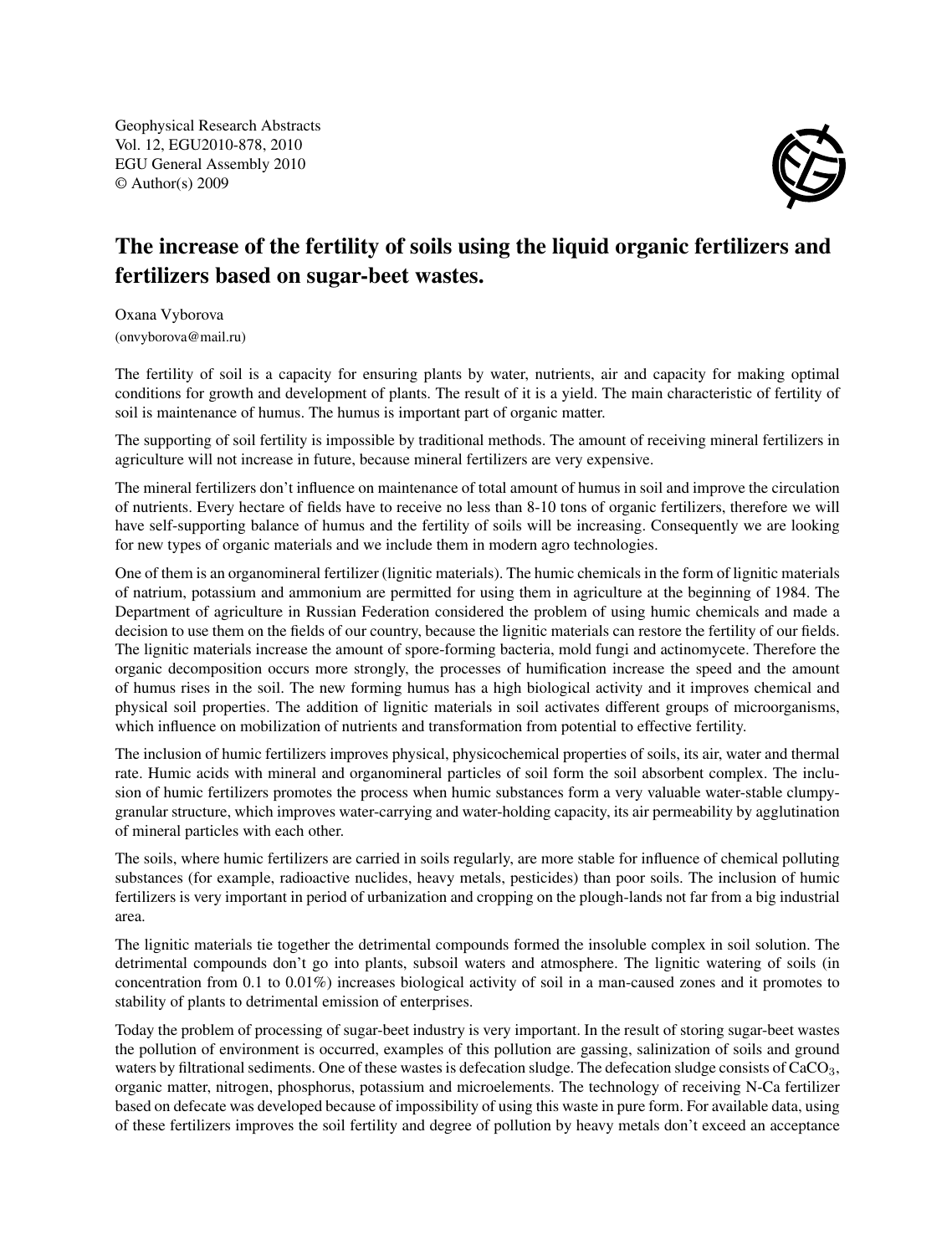Geophysical Research Abstracts Vol. 12, EGU2010-878, 2010 EGU General Assembly 2010 © Author(s) 2009



## The increase of the fertility of soils using the liquid organic fertilizers and fertilizers based on sugar-beet wastes.

Oxana Vyborova (onvyborova@mail.ru)

The fertility of soil is a capacity for ensuring plants by water, nutrients, air and capacity for making optimal conditions for growth and development of plants. The result of it is a yield. The main characteristic of fertility of soil is maintenance of humus. The humus is important part of organic matter.

The supporting of soil fertility is impossible by traditional methods. The amount of receiving mineral fertilizers in agriculture will not increase in future, because mineral fertilizers are very expensive.

The mineral fertilizers don't influence on maintenance of total amount of humus in soil and improve the circulation of nutrients. Every hectare of fields have to receive no less than 8-10 tons of organic fertilizers, therefore we will have self-supporting balance of humus and the fertility of soils will be increasing. Consequently we are looking for new types of organic materials and we include them in modern agro technologies.

One of them is an organomineral fertilizer (lignitic materials). The humic chemicals in the form of lignitic materials of natrium, potassium and ammonium are permitted for using them in agriculture at the beginning of 1984. The Department of agriculture in Russian Federation considered the problem of using humic chemicals and made a decision to use them on the fields of our country, because the lignitic materials can restore the fertility of our fields. The lignitic materials increase the amount of spore-forming bacteria, mold fungi and actinomycete. Therefore the organic decomposition occurs more strongly, the processes of humification increase the speed and the amount of humus rises in the soil. The new forming humus has a high biological activity and it improves chemical and physical soil properties. The addition of lignitic materials in soil activates different groups of microorganisms, which influence on mobilization of nutrients and transformation from potential to effective fertility.

The inclusion of humic fertilizers improves physical, physicochemical properties of soils, its air, water and thermal rate. Humic acids with mineral and organomineral particles of soil form the soil absorbent complex. The inclusion of humic fertilizers promotes the process when humic substances form a very valuable water-stable clumpygranular structure, which improves water-carrying and water-holding capacity, its air permeability by agglutination of mineral particles with each other.

The soils, where humic fertilizers are carried in soils regularly, are more stable for influence of chemical polluting substances (for example, radioactive nuclides, heavy metals, pesticides) than poor soils. The inclusion of humic fertilizers is very important in period of urbanization and cropping on the plough-lands not far from a big industrial area.

The lignitic materials tie together the detrimental compounds formed the insoluble complex in soil solution. The detrimental compounds don't go into plants, subsoil waters and atmosphere. The lignitic watering of soils (in concentration from 0.1 to 0.01%) increases biological activity of soil in a man-caused zones and it promotes to stability of plants to detrimental emission of enterprises.

Today the problem of processing of sugar-beet industry is very important. In the result of storing sugar-beet wastes the pollution of environment is occurred, examples of this pollution are gassing, salinization of soils and ground waters by filtrational sediments. One of these wastes is defecation sludge. The defecation sludge consists of CaCO<sub>3</sub>, organic matter, nitrogen, phosphorus, potassium and microelements. The technology of receiving N-Ca fertilizer based on defecate was developed because of impossibility of using this waste in pure form. For available data, using of these fertilizers improves the soil fertility and degree of pollution by heavy metals don't exceed an acceptance